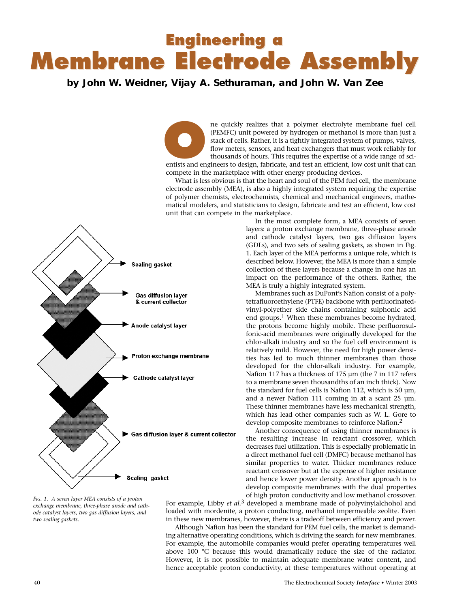## **Engineering a Engineering a Membrane Electrode Assembly Membrane Electrode Assembly**

## **by John W. Weidner, Vijay A. Sethuraman, and John W. Van Zee**

ne quickly realizes that a polymer electrolyte membrane fuel cell (PEMFC) unit powered by hydrogen or methanol is more than just a stack of cells. Rather, it is a tightly integrated system of pumps, valves, flow meters, sensors, and heat exchangers that must work reliably for thousands of hours. This requires the expertise of a wide range of scientists and engineers to design, fabricate, and test an efficient, low cost unit that can engineers of pumps, valves, flow meters, sensors, and heat exchangers that must work reliably for thousands of hours. This requires compete in the marketplace with other energy producing devices.

What is less obvious is that the heart and soul of the PEM fuel cell, the membrane electrode assembly (MEA), is also a highly integrated system requiring the expertise of polymer chemists, electrochemists, chemical and mechanical engineers, mathematical modelers, and statisticians to design, fabricate and test an efficient, low cost unit that can compete in the marketplace. In the most complete form, a MEA consists of seven

MEA is truly a highly integrated system.

layers: a proton exchange membrane, three-phase anode and cathode catalyst layers, two gas diffusion layers (GDLs), and two sets of sealing gaskets, as shown in Fig. 1. Each layer of the MEA performs a unique role, which is described below. However, the MEA is more than a simple collection of these layers because a change in one has an impact on the performance of the others. Rather, the

Membranes such as DuPont's Nafion consist of a polytetrafluoroethylene (PTFE) backbone with perfluorinatedvinyl-polyether side chains containing sulphonic acid end groups.<sup>1</sup> When these membranes become hydrated, the protons become highly mobile. These perfluorosulfonic-acid membranes were originally developed for the chlor-alkali industry and so the fuel cell environment is relatively mild. However, the need for high power densities has led to much thinner membranes than those developed for the chlor-alkali industry. For example, Nafion 117 has a thickness of 175 µm (the 7 in 117 refers to a membrane seven thousandths of an inch thick). Now the standard for fuel cells is Nafion 112, which is 50  $\mu$ m, and a newer Nafion 111 coming in at a scant 25 µm. These thinner membranes have less mechanical strength, which has lead other companies such as W. L. Gore to develop composite membranes to reinforce Nafion.2 Another consequence of using thinner membranes is the resulting increase in reactant crossover, which decreases fuel utilization. This is especially problematic in a direct methanol fuel cell (DMFC) because methanol has similar properties to water. Thicker membranes reduce reactant crossover but at the expense of higher resistance and hence lower power density. Another approach is to develop composite membranes with the dual properties



*FIG. 1. A seven layer MEA consists of a proton exchange membrane, three-phase anode and cathode catalyst layers, two gas diffusion layers, and two sealing gaskets.*

of high proton conductivity and low methanol crossover. For example, Libby *et al.*3 developed a membrane made of polyvinylalchohol and loaded with mordenite, a proton conducting, methanol impermeable zeolite. Even in these new membranes, however, there is a tradeoff between efficiency and power.

Although Nafion has been the standard for PEM fuel cells, the market is demanding alternative operating conditions, which is driving the search for new membranes. For example, the automobile companies would prefer operating temperatures well above 100 °C because this would dramatically reduce the size of the radiator. However, it is not possible to maintain adequate membrane water content, and hence acceptable proton conductivity, at these temperatures without operating at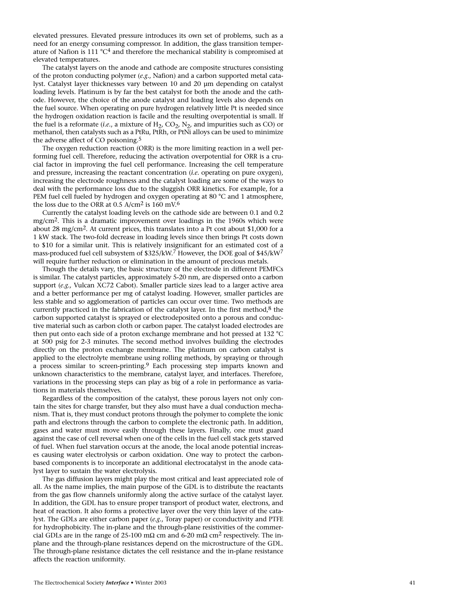elevated pressures. Elevated pressure introduces its own set of problems, such as a need for an energy consuming compressor. In addition, the glass transition temperature of Nafion is 111  $^{\circ}C^4$  and therefore the mechanical stability is compromised at elevated temperatures.

The catalyst layers on the anode and cathode are composite structures consisting of the proton conducting polymer (*e.g.*, Nafion) and a carbon supported metal catalyst. Catalyst layer thicknesses vary between 10 and 20 µm depending on catalyst loading levels. Platinum is by far the best catalyst for both the anode and the cathode. However, the choice of the anode catalyst and loading levels also depends on the fuel source. When operating on pure hydrogen relatively little Pt is needed since the hydrogen oxidation reaction is facile and the resulting overpotential is small. If the fuel is a reformate (*i.e.*, a mixture of H 2, CO 2, N 2, and impurities such as CO) or methanol, then catalysts such as a PtRu, PtRh, or PtNi alloys can be used to minimize the adverse affect of CO poisoning. 5

The oxygen reduction reaction (ORR) is the more limiting reaction in a well performing fuel cell. Therefore, reducing the activation overpotential for ORR is a crucial factor in improving the fuel cell performance. Increasing the cell temperature and pressure, increasing the reactant concentration (*i.e.* operating on pure oxygen), increasing the electrode roughness and the catalyst loading are some of the ways to deal with the performance loss due to the sluggish ORR kinetics. For example, for a PEM fuel cell fueled by hydrogen and oxygen operating at 80 °C and 1 atmosphere, the loss due to the ORR at 0.5 A/cm<sup>2</sup> is  $160 \text{ mV}$ .<sup>6</sup>

Currently the catalyst loading levels on the cathode side are between 0.1 and 0.2 mg/cm 2. This is a dramatic improvement over loadings in the 1960s which were about 28 mg/cm 2. At current prices, this translates into a Pt cost about \$1,000 for a 1 kW stack. The two-fold decrease in loading levels since then brings Pt costs down to \$10 for a similar unit. This is relatively insignificant for an estimated cost of a mass-produced fuel cell subsystem of \$325/kW. 7 However, the DOE goal of \$45/kW 7 will require further reduction or elimination in the amount of precious metals.

Though the details vary, the basic structure of the electrode in different PEMFCs is similar. The catalyst particles, approximately 5-20 nm, are dispersed onto a carbon support (*e.g.,* Vulcan XC72 Cabot). Smaller particle sizes lead to a larger active area and a better performance per mg of catalyst loading. However, smaller particles are less stable and so agglomeration of particles can occur over time. Two methods are currently practiced in the fabrication of the catalyst layer. In the first method,<sup>8</sup> the carbon supported catalyst is sprayed or electrodeposited onto a porous and conductive material such as carbon cloth or carbon paper. The catalyst loaded electrodes are then put onto each side of a proton exchange membrane and hot pressed at 132 °C at 500 psig for 2-3 minutes. The second method involves building the electrodes directly on the proton exchange membrane. The platinum on carbon catalyst is applied to the electrolyte membrane using rolling methods, by spraying or through a process similar to screen-printing. 9 Each processing step imparts known and unknown characteristics to the membrane, catalyst layer, and interfaces. Therefore, variations in the processing steps can play as big of a role in performance as variations in materials themselves.

Regardless of the composition of the catalyst, these porous layers not only contain the sites for charge transfer, but they also must have a dual conduction mechanism. That is, they must conduct protons through the polymer to complete the ionic path and electrons through the carbon to complete the electronic path. In addition, gases and water must move easily through these layers. Finally, one must guard against the case of cell reversal when one of the cells in the fuel cell stack gets starved of fuel. When fuel starvation occurs at the anode, the local anode potential increases causing water electrolysis or carbon oxidation. One way to protect the carbonbased components is to incorporate an additional electrocatalyst in the anode catalyst layer to sustain the water electrolysis.

The gas diffusion layers might play the most critical and least appreciated role of all. As the name implies, the main purpose of the GDL is to distribute the reactants from the gas flow channels uniformly along the active surface of the catalyst layer. In addition, the GDL has to ensure proper transport of product water, electrons, and heat of reaction. It also forms a protective layer over the very thin layer of the catalyst. The GDLs are either carbon paper (*e.g.*, Toray paper) or cconductivity and PTFE for hydrophobicity. The in-plane and the through-plane resistivities of the commercial GDLs are in the range of 25-100 m $\Omega$  cm and 6-20 m $\Omega$  cm<sup>2</sup> respectively. The inplane and the through-plane resistances depend on the microstructure of the GDL. The through-plane resistance dictates the cell resistance and the in-plane resistance affects the reaction uniformity.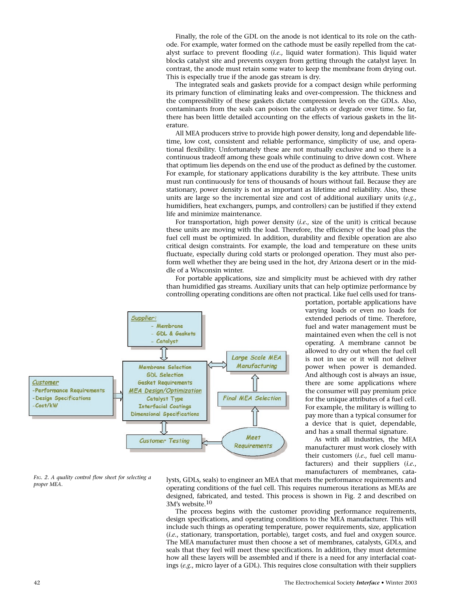Finally, the role of the GDL on the anode is not identical to its role on the cathode. For example, water formed on the cathode must be easily repelled from the catalyst surface to prevent flooding (*i.e.*, liquid water formation). This liquid water blocks catalyst site and prevents oxygen from getting through the catalyst layer. In contrast, the anode must retain some water to keep the membrane from drying out. This is especially true if the anode gas stream is dry.

The integrated seals and gaskets provide for a compact design while performing its primary function of eliminating leaks and over-compression. The thickness and the compressibility of these gaskets dictate compression levels on the GDLs. Also, contaminants from the seals can poison the catalysts or degrade over time. So far, there has been little detailed accounting on the effects of various gaskets in the literature.

All MEA producers strive to provide high power density, long and dependable lifetime, low cost, consistent and reliable performance, simplicity of use, and operational flexibility. Unfortunately these are not mutually exclusive and so there is a continuous tradeoff among these goals while continuing to drive down cost. Where that optimum lies depends on the end use of the product as defined by the customer. For example, for stationary applications durability is the key attribute. These units must run continuously for tens of thousands of hours without fail. Because they are stationary, power density is not as important as lifetime and reliability. Also, these units are large so the incremental size and cost of additional auxiliary units (*e.g.*, humidifiers, heat exchangers, pumps, and controllers) can be justified if they extend life and minimize maintenance.

For transportation, high power density (*i.e.*, size of the unit) is critical because these units are moving with the load. Therefore, the efficiency of the load plus the fuel cell must be optimized. In addition, durability and flexible operation are also critical design constraints. For example, the load and temperature on these units fluctuate, especially during cold starts or prolonged operation. They must also perform well whether they are being used in the hot, dry Arizona desert or in the middle of a Wisconsin winter.

For portable applications, size and simplicity must be achieved with dry rather than humidified gas streams. Auxiliary units that can help optimize performance by controlling operating conditions are often not practical. Like fuel cells used for trans-



portation, portable applications have varying loads or even no loads for extended periods of time. Therefore, fuel and water management must be maintained even when the cell is not operating. A membrane cannot be allowed to dry out when the fuel cell is not in use or it will not deliver power when power is demanded. And although cost is always an issue, there are some applications where the consumer will pay premium price for the unique attributes of a fuel cell. For example, the military is willing to pay more than a typical consumer for a device that is quiet, dependable, and has a small thermal signature.

As with all industries, the MEA manufacturer must work closely with their customers (*i.e.*, fuel cell manufacturers) and their suppliers (*i.e.*, manufacturers of membranes, cata-

*FIG. 2. A quality control flow sheet for selecting a proper MEA.*

lysts, GDLs, seals) to engineer an MEA that meets the performance requirements and operating conditions of the fuel cell. This requires numerous iterations as MEAs are designed, fabricated, and tested. This process is shown in Fig. 2 and described on 3M's website.10

The process begins with the customer providing performance requirements, design specifications, and operating conditions to the MEA manufacturer. This will include such things as operating temperature, power requirements, size, application (*i.e.*, stationary, transportation, portable), target costs, and fuel and oxygen source. The MEA manufacturer must then choose a set of membranes, catalysts, GDLs, and seals that they feel will meet these specifications. In addition, they must determine how all these layers will be assembled and if there is a need for any interfacial coatings (*e.g.*, micro layer of a GDL). This requires close consultation with their suppliers